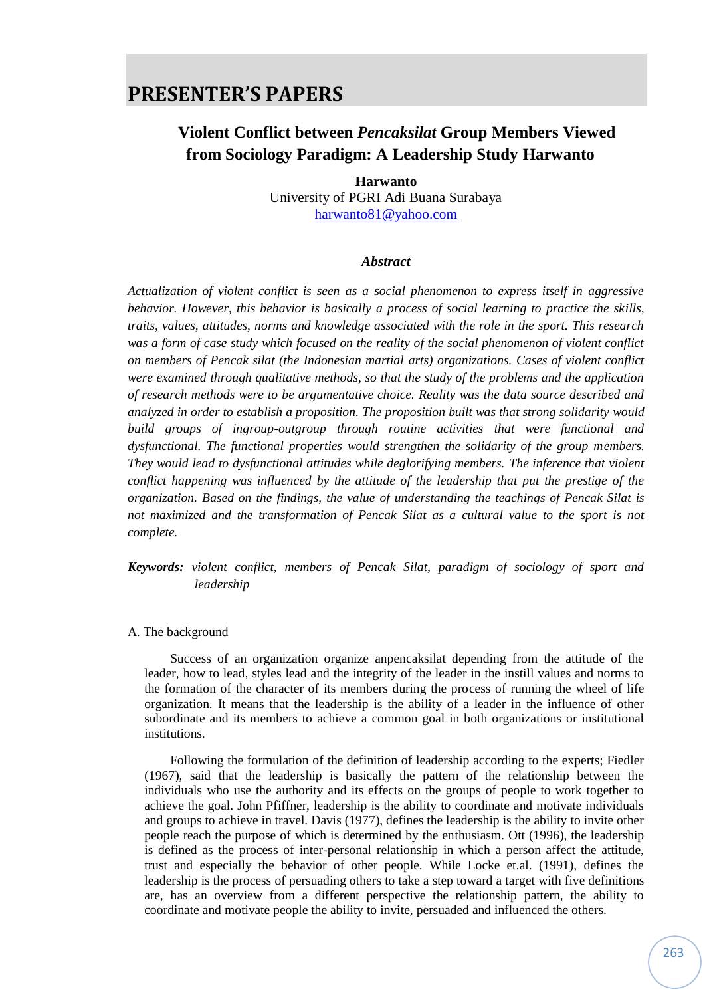### **Violent Conflict between** *Pencaksilat* **Group Members Viewed from Sociology Paradigm: A Leadership Study Harwanto**

**Harwanto** University of PGRI Adi Buana Surabaya [harwanto81@yahoo.com](mailto:harwanto81@yahoo.com)

#### *Abstract*

*Actualization of violent conflict is seen as a social phenomenon to express itself in aggressive behavior. However, this behavior is basically a process of social learning to practice the skills, traits, values, attitudes, norms and knowledge associated with the role in the sport. This research was a form of case study which focused on the reality of the social phenomenon of violent conflict on members of Pencak silat (the Indonesian martial arts) organizations. Cases of violent conflict were examined through qualitative methods, so that the study of the problems and the application of research methods were to be argumentative choice. Reality was the data source described and analyzed in order to establish a proposition. The proposition built was that strong solidarity would build groups of ingroup-outgroup through routine activities that were functional and dysfunctional. The functional properties would strengthen the solidarity of the group members. They would lead to dysfunctional attitudes while deglorifying members. The inference that violent conflict happening was influenced by the attitude of the leadership that put the prestige of the organization. Based on the findings, the value of understanding the teachings of Pencak Silat is*  not maximized and the transformation of Pencak Silat as a cultural value to the sport is not *complete.*

*Keywords: violent conflict, members of Pencak Silat, paradigm of sociology of sport and leadership*

#### A. The background

Success of an organization organize anpencaksilat depending from the attitude of the leader, how to lead, styles lead and the integrity of the leader in the instill values and norms to the formation of the character of its members during the process of running the wheel of life organization. It means that the leadership is the ability of a leader in the influence of other subordinate and its members to achieve a common goal in both organizations or institutional institutions.

Following the formulation of the definition of leadership according to the experts; Fiedler (1967), said that the leadership is basically the pattern of the relationship between the individuals who use the authority and its effects on the groups of people to work together to achieve the goal. John Pfiffner, leadership is the ability to coordinate and motivate individuals and groups to achieve in travel. Davis (1977), defines the leadership is the ability to invite other people reach the purpose of which is determined by the enthusiasm. Ott (1996), the leadership is defined as the process of inter-personal relationship in which a person affect the attitude, trust and especially the behavior of other people. While Locke et.al. (1991), defines the leadership is the process of persuading others to take a step toward a target with five definitions are, has an overview from a different perspective the relationship pattern, the ability to coordinate and motivate people the ability to invite, persuaded and influenced the others.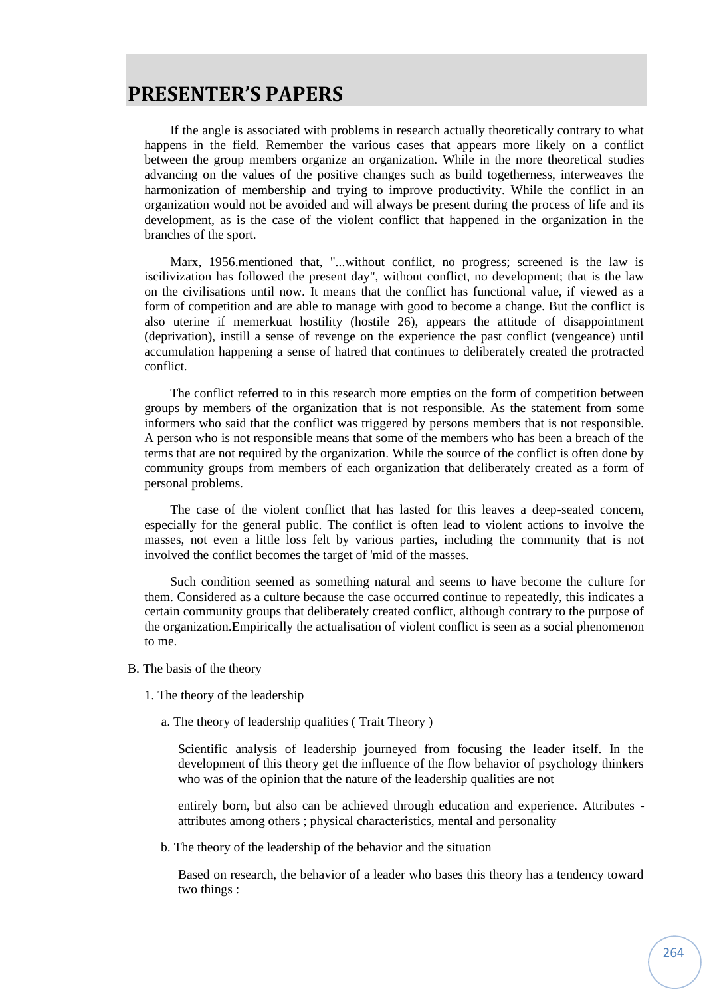If the angle is associated with problems in research actually theoretically contrary to what happens in the field. Remember the various cases that appears more likely on a conflict between the group members organize an organization. While in the more theoretical studies advancing on the values of the positive changes such as build togetherness, interweaves the harmonization of membership and trying to improve productivity. While the conflict in an organization would not be avoided and will always be present during the process of life and its development, as is the case of the violent conflict that happened in the organization in the branches of the sport.

Marx, 1956.mentioned that, "...without conflict, no progress; screened is the law is iscilivization has followed the present day", without conflict, no development; that is the law on the civilisations until now. It means that the conflict has functional value, if viewed as a form of competition and are able to manage with good to become a change. But the conflict is also uterine if memerkuat hostility (hostile 26), appears the attitude of disappointment (deprivation), instill a sense of revenge on the experience the past conflict (vengeance) until accumulation happening a sense of hatred that continues to deliberately created the protracted conflict.

The conflict referred to in this research more empties on the form of competition between groups by members of the organization that is not responsible. As the statement from some informers who said that the conflict was triggered by persons members that is not responsible. A person who is not responsible means that some of the members who has been a breach of the terms that are not required by the organization. While the source of the conflict is often done by community groups from members of each organization that deliberately created as a form of personal problems.

The case of the violent conflict that has lasted for this leaves a deep-seated concern, especially for the general public. The conflict is often lead to violent actions to involve the masses, not even a little loss felt by various parties, including the community that is not involved the conflict becomes the target of 'mid of the masses.

Such condition seemed as something natural and seems to have become the culture for them. Considered as a culture because the case occurred continue to repeatedly, this indicates a certain community groups that deliberately created conflict, although contrary to the purpose of the organization.Empirically the actualisation of violent conflict is seen as a social phenomenon to me.

- B. The basis of the theory
	- 1. The theory of the leadership
		- a. The theory of leadership qualities ( Trait Theory )

Scientific analysis of leadership journeyed from focusing the leader itself. In the development of this theory get the influence of the flow behavior of psychology thinkers who was of the opinion that the nature of the leadership qualities are not

entirely born, but also can be achieved through education and experience. Attributes attributes among others ; physical characteristics, mental and personality

b. The theory of the leadership of the behavior and the situation

Based on research, the behavior of a leader who bases this theory has a tendency toward two things :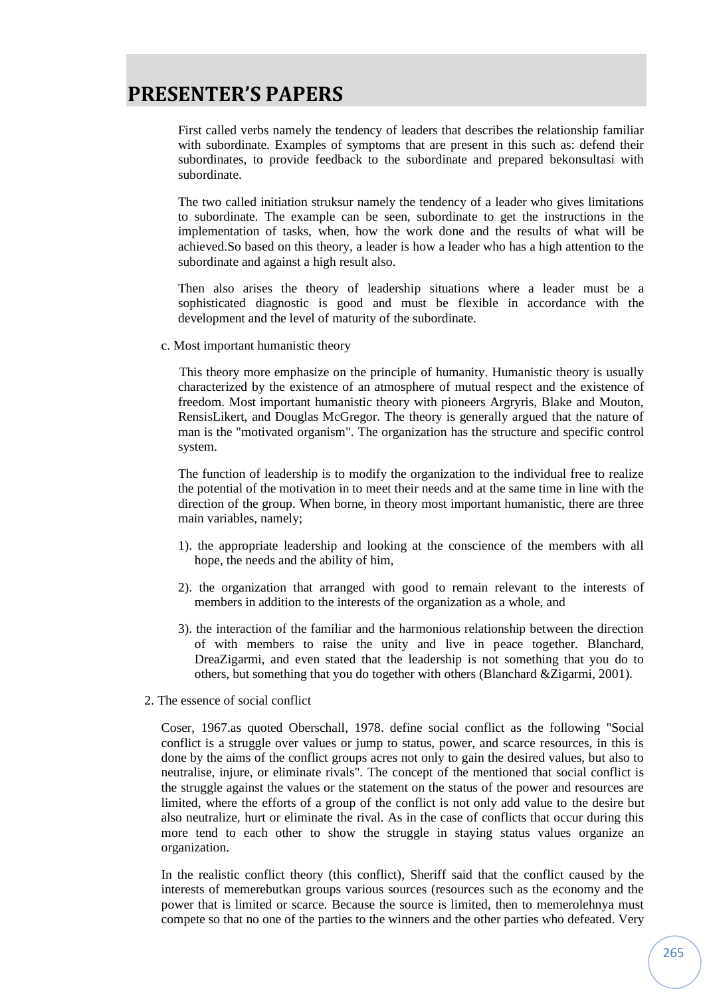First called verbs namely the tendency of leaders that describes the relationship familiar with subordinate. Examples of symptoms that are present in this such as: defend their subordinates, to provide feedback to the subordinate and prepared bekonsultasi with subordinate.

The two called initiation struksur namely the tendency of a leader who gives limitations to subordinate. The example can be seen, subordinate to get the instructions in the implementation of tasks, when, how the work done and the results of what will be achieved.So based on this theory, a leader is how a leader who has a high attention to the subordinate and against a high result also.

Then also arises the theory of leadership situations where a leader must be a sophisticated diagnostic is good and must be flexible in accordance with the development and the level of maturity of the subordinate.

c. Most important humanistic theory

This theory more emphasize on the principle of humanity. Humanistic theory is usually characterized by the existence of an atmosphere of mutual respect and the existence of freedom. Most important humanistic theory with pioneers Argryris, Blake and Mouton, RensisLikert, and Douglas McGregor. The theory is generally argued that the nature of man is the "motivated organism". The organization has the structure and specific control system.

The function of leadership is to modify the organization to the individual free to realize the potential of the motivation in to meet their needs and at the same time in line with the direction of the group. When borne, in theory most important humanistic, there are three main variables, namely;

- 1). the appropriate leadership and looking at the conscience of the members with all hope, the needs and the ability of him,
- 2). the organization that arranged with good to remain relevant to the interests of members in addition to the interests of the organization as a whole, and
- 3). the interaction of the familiar and the harmonious relationship between the direction of with members to raise the unity and live in peace together. Blanchard, DreaZigarmi, and even stated that the leadership is not something that you do to others, but something that you do together with others (Blanchard &Zigarmi, 2001).
- 2. The essence of social conflict

Coser, 1967.as quoted Oberschall, 1978. define social conflict as the following "Social conflict is a struggle over values or jump to status, power, and scarce resources, in this is done by the aims of the conflict groups acres not only to gain the desired values, but also to neutralise, injure, or eliminate rivals". The concept of the mentioned that social conflict is the struggle against the values or the statement on the status of the power and resources are limited, where the efforts of a group of the conflict is not only add value to the desire but also neutralize, hurt or eliminate the rival. As in the case of conflicts that occur during this more tend to each other to show the struggle in staying status values organize an organization.

In the realistic conflict theory (this conflict), Sheriff said that the conflict caused by the interests of memerebutkan groups various sources (resources such as the economy and the power that is limited or scarce. Because the source is limited, then to memerolehnya must compete so that no one of the parties to the winners and the other parties who defeated. Very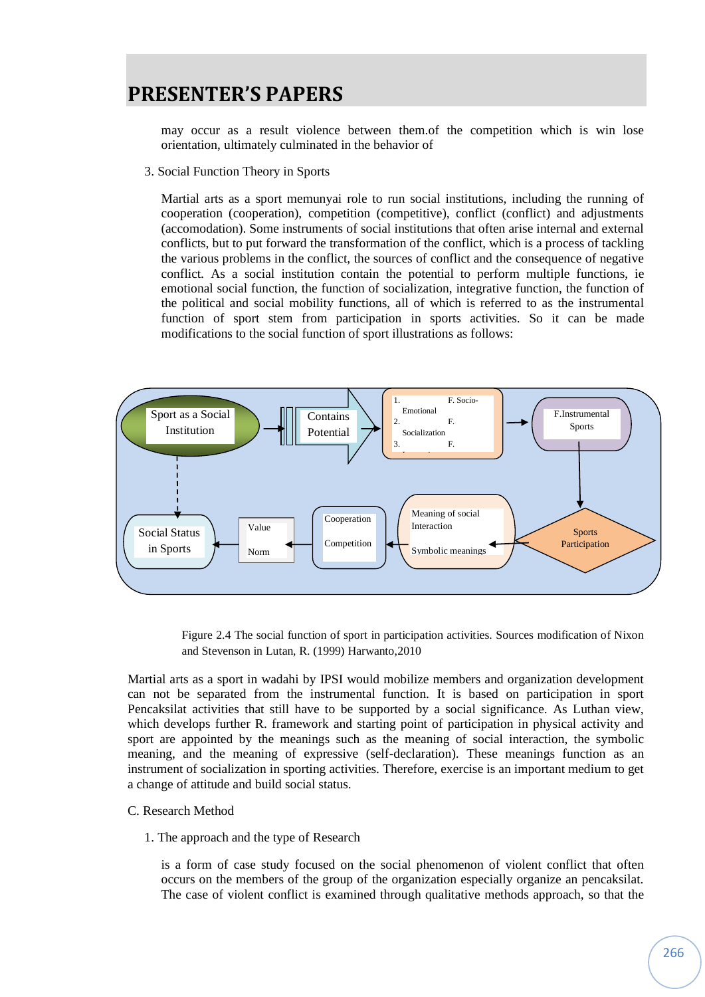may occur as a result violence between them.of the competition which is win lose orientation, ultimately culminated in the behavior of

3. Social Function Theory in Sports

Martial arts as a sport memunyai role to run social institutions, including the running of cooperation (cooperation), competition (competitive), conflict (conflict) and adjustments (accomodation). Some instruments of social institutions that often arise internal and external conflicts, but to put forward the transformation of the conflict, which is a process of tackling the various problems in the conflict, the sources of conflict and the consequence of negative conflict. As a social institution contain the potential to perform multiple functions, ie emotional social function, the function of socialization, integrative function, the function of the political and social mobility functions, all of which is referred to as the instrumental function of sport stem from participation in sports activities. So it can be made modifications to the social function of sport illustrations as follows:



Figure 2.4 The social function of sport in participation activities. Sources modification of Nixon and Stevenson in Lutan, R. (1999) Harwanto,2010

Martial arts as a sport in wadahi by IPSI would mobilize members and organization development can not be separated from the instrumental function. It is based on participation in sport Pencaksilat activities that still have to be supported by a social significance. As Luthan view, which develops further R. framework and starting point of participation in physical activity and sport are appointed by the meanings such as the meaning of social interaction, the symbolic meaning, and the meaning of expressive (self-declaration). These meanings function as an instrument of socialization in sporting activities. Therefore, exercise is an important medium to get a change of attitude and build social status.

#### C. Research Method

1. The approach and the type of Research

is a form of case study focused on the social phenomenon of violent conflict that often occurs on the members of the group of the organization especially organize an pencaksilat. The case of violent conflict is examined through qualitative methods approach, so that the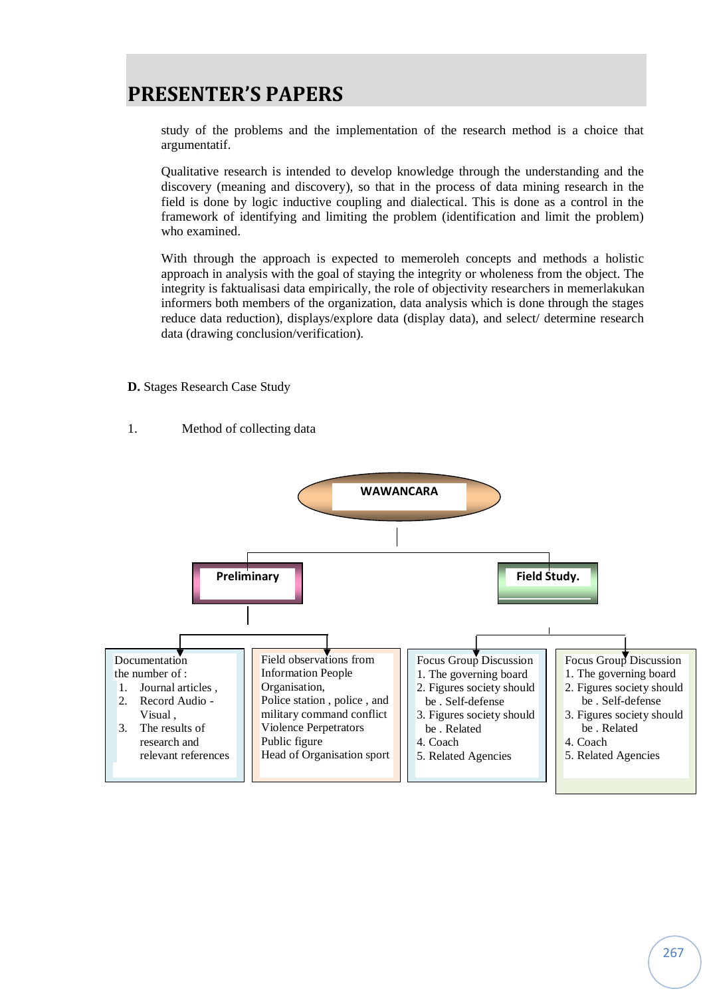study of the problems and the implementation of the research method is a choice that argumentatif.

Qualitative research is intended to develop knowledge through the understanding and the discovery (meaning and discovery), so that in the process of data mining research in the field is done by logic inductive coupling and dialectical. This is done as a control in the framework of identifying and limiting the problem (identification and limit the problem) who examined.

With through the approach is expected to memeroleh concepts and methods a holistic approach in analysis with the goal of staying the integrity or wholeness from the object. The integrity is faktualisasi data empirically, the role of objectivity researchers in memerlakukan informers both members of the organization, data analysis which is done through the stages reduce data reduction), displays/explore data (display data), and select/ determine research data (drawing conclusion/verification).

**D.** Stages Research Case Study

### 1. Method of collecting data

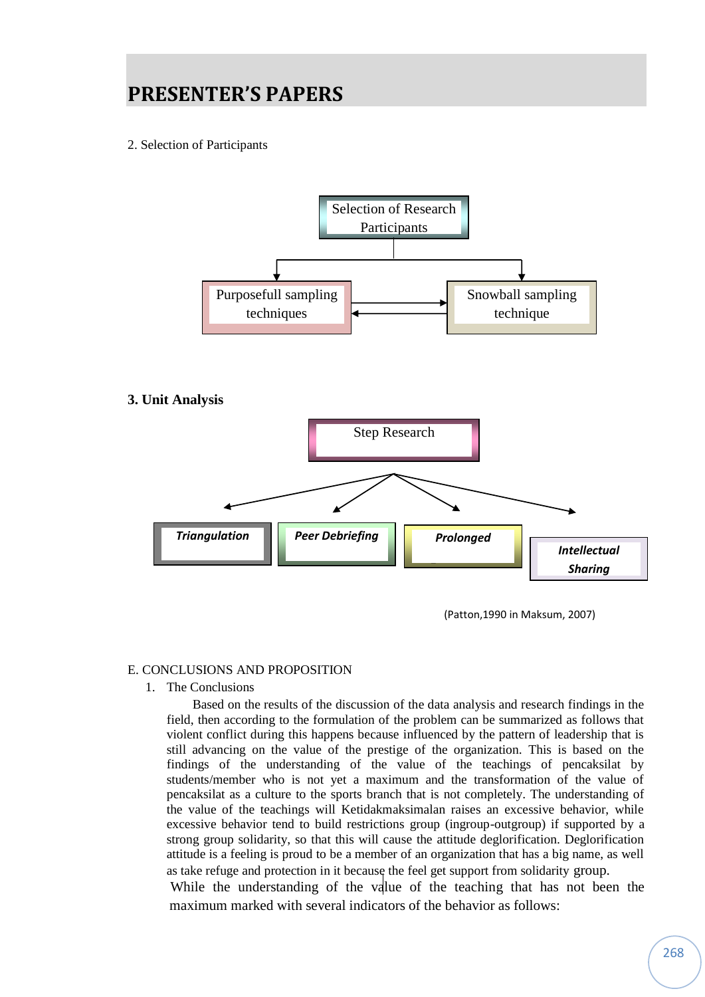2. Selection of Participants



### **3. Unit Analysis**



(Patton,1990 in Maksum, 2007)

### E. CONCLUSIONS AND PROPOSITION

1. The Conclusions

Based on the results of the discussion of the data analysis and research findings in the field, then according to the formulation of the problem can be summarized as follows that violent conflict during this happens because influenced by the pattern of leadership that is still advancing on the value of the prestige of the organization. This is based on the findings of the understanding of the value of the teachings of pencaksilat by students/member who is not yet a maximum and the transformation of the value of pencaksilat as a culture to the sports branch that is not completely. The understanding of the value of the teachings will Ketidakmaksimalan raises an excessive behavior, while excessive behavior tend to build restrictions group (ingroup-outgroup) if supported by a strong group solidarity, so that this will cause the attitude deglorification. Deglorification attitude is a feeling is proud to be a member of an organization that has a big name, as well as take refuge and protection in it because the feel get support from solidarity group.

While the understanding of the value of the teaching that has not been the maximum marked with several indicators of the behavior as follows: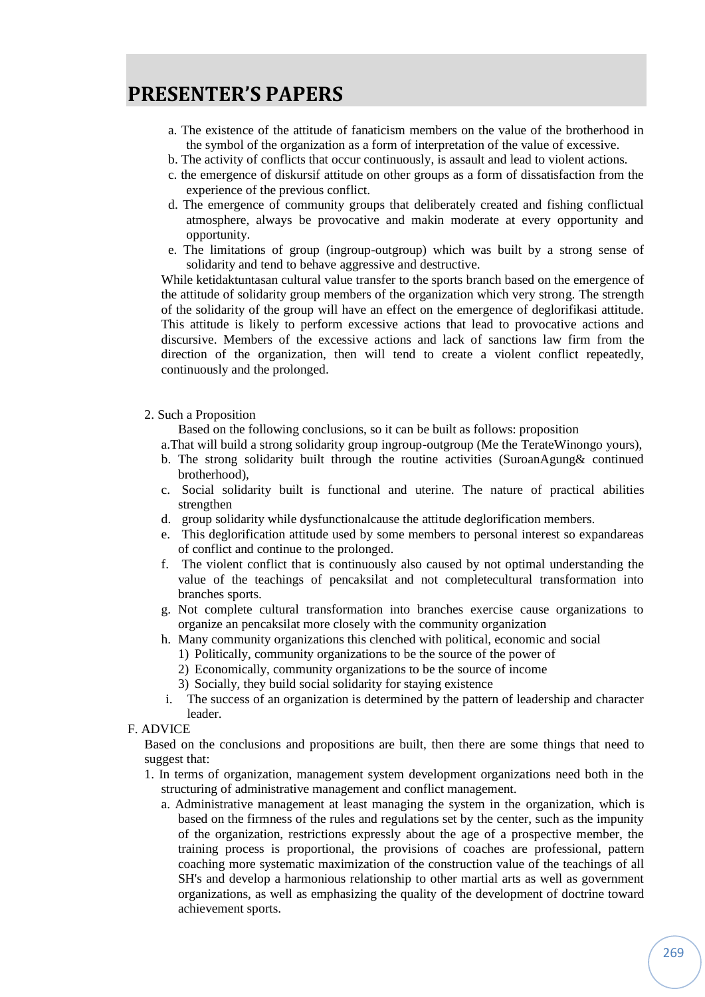- a. The existence of the attitude of fanaticism members on the value of the brotherhood in the symbol of the organization as a form of interpretation of the value of excessive.
- b. The activity of conflicts that occur continuously, is assault and lead to violent actions.
- c. the emergence of diskursif attitude on other groups as a form of dissatisfaction from the experience of the previous conflict.
- d. The emergence of community groups that deliberately created and fishing conflictual atmosphere, always be provocative and makin moderate at every opportunity and opportunity.
- e. The limitations of group (ingroup-outgroup) which was built by a strong sense of solidarity and tend to behave aggressive and destructive.

While ketidaktuntasan cultural value transfer to the sports branch based on the emergence of the attitude of solidarity group members of the organization which very strong. The strength of the solidarity of the group will have an effect on the emergence of deglorifikasi attitude. This attitude is likely to perform excessive actions that lead to provocative actions and discursive. Members of the excessive actions and lack of sanctions law firm from the direction of the organization, then will tend to create a violent conflict repeatedly, continuously and the prolonged.

#### 2. Such a Proposition

Based on the following conclusions, so it can be built as follows: proposition

a.That will build a strong solidarity group ingroup-outgroup (Me the TerateWinongo yours),

- b. The strong solidarity built through the routine activities (SuroanAgung& continued brotherhood),
- c. Social solidarity built is functional and uterine. The nature of practical abilities strengthen
- d. group solidarity while dysfunctionalcause the attitude deglorification members.
- e. This deglorification attitude used by some members to personal interest so expandareas of conflict and continue to the prolonged.
- f. The violent conflict that is continuously also caused by not optimal understanding the value of the teachings of pencaksilat and not completecultural transformation into branches sports.
- g. Not complete cultural transformation into branches exercise cause organizations to organize an pencaksilat more closely with the community organization
- h. Many community organizations this clenched with political, economic and social
	- 1) Politically, community organizations to be the source of the power of
	- 2) Economically, community organizations to be the source of income
	- 3) Socially, they build social solidarity for staying existence
- i. The success of an organization is determined by the pattern of leadership and character leader.
- F. ADVICE

Based on the conclusions and propositions are built, then there are some things that need to suggest that:

- 1. In terms of organization, management system development organizations need both in the structuring of administrative management and conflict management.
	- a. Administrative management at least managing the system in the organization, which is based on the firmness of the rules and regulations set by the center, such as the impunity of the organization, restrictions expressly about the age of a prospective member, the training process is proportional, the provisions of coaches are professional, pattern coaching more systematic maximization of the construction value of the teachings of all SH's and develop a harmonious relationship to other martial arts as well as government organizations, as well as emphasizing the quality of the development of doctrine toward achievement sports.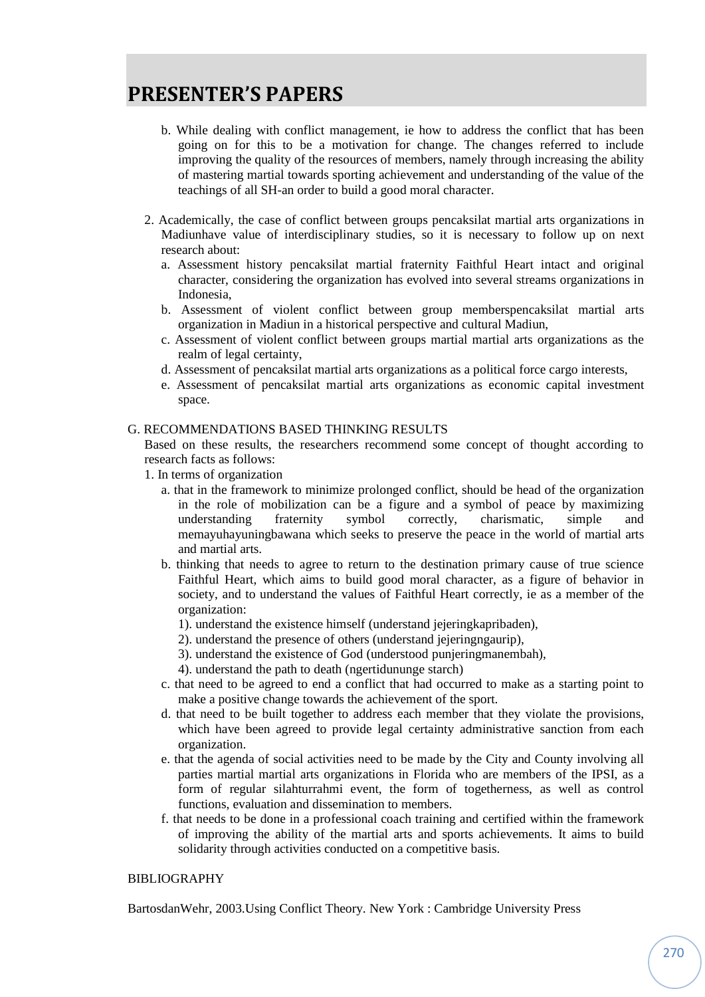- b. While dealing with conflict management, ie how to address the conflict that has been going on for this to be a motivation for change. The changes referred to include improving the quality of the resources of members, namely through increasing the ability of mastering martial towards sporting achievement and understanding of the value of the teachings of all SH-an order to build a good moral character.
- 2. Academically, the case of conflict between groups pencaksilat martial arts organizations in Madiunhave value of interdisciplinary studies, so it is necessary to follow up on next research about:
	- a. Assessment history pencaksilat martial fraternity Faithful Heart intact and original character, considering the organization has evolved into several streams organizations in Indonesia,
	- b. Assessment of violent conflict between group memberspencaksilat martial arts organization in Madiun in a historical perspective and cultural Madiun,
	- c. Assessment of violent conflict between groups martial martial arts organizations as the realm of legal certainty,
	- d. Assessment of pencaksilat martial arts organizations as a political force cargo interests,
	- e. Assessment of pencaksilat martial arts organizations as economic capital investment space.

### G. RECOMMENDATIONS BASED THINKING RESULTS

Based on these results, the researchers recommend some concept of thought according to research facts as follows:

- 1. In terms of organization
	- a. that in the framework to minimize prolonged conflict, should be head of the organization in the role of mobilization can be a figure and a symbol of peace by maximizing understanding fraternity symbol correctly, charismatic, simple and memayuhayuningbawana which seeks to preserve the peace in the world of martial arts and martial arts.
	- b. thinking that needs to agree to return to the destination primary cause of true science Faithful Heart, which aims to build good moral character, as a figure of behavior in society, and to understand the values of Faithful Heart correctly, ie as a member of the organization:
		- 1). understand the existence himself (understand jejeringkapribaden),
		- 2). understand the presence of others (understand jejeringngaurip),
		- 3). understand the existence of God (understood punjeringmanembah),
		- 4). understand the path to death (ngertidununge starch)
	- c. that need to be agreed to end a conflict that had occurred to make as a starting point to make a positive change towards the achievement of the sport.
	- d. that need to be built together to address each member that they violate the provisions, which have been agreed to provide legal certainty administrative sanction from each organization.
	- e. that the agenda of social activities need to be made by the City and County involving all parties martial martial arts organizations in Florida who are members of the IPSI, as a form of regular silahturrahmi event, the form of togetherness, as well as control functions, evaluation and dissemination to members.
	- f. that needs to be done in a professional coach training and certified within the framework of improving the ability of the martial arts and sports achievements. It aims to build solidarity through activities conducted on a competitive basis.

#### BIBLIOGRAPHY

BartosdanWehr, 2003.Using Conflict Theory. New York : Cambridge University Press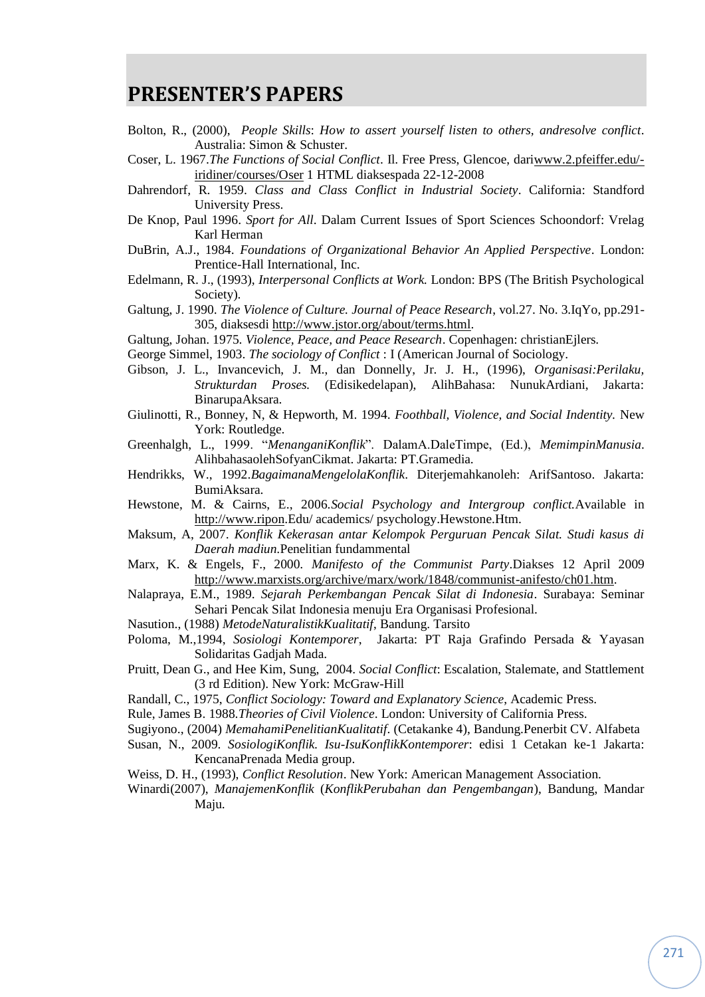- Bolton, R., (2000), *People Skills*: *How to assert yourself listen to others, andresolve conflict*. Australia: Simon & Schuster.
- Coser, L. 1967.*The Functions of Social Conflict*. Il. Free Press, Glencoe, dar[iwww.2.pfeiffer.edu/](http://www.2.pfeiffer.edu/-iridiner/courses/Oser) [iridiner/courses/Oser](http://www.2.pfeiffer.edu/-iridiner/courses/Oser) 1 HTML diaksespada 22-12-2008
- Dahrendorf, R. 1959. *Class and Class Conflict in Industrial Society*. California: Standford University Press.
- De Knop, Paul 1996. *Sport for All*. Dalam Current Issues of Sport Sciences Schoondorf: Vrelag Karl Herman
- DuBrin, A.J., 1984. *Foundations of Organizational Behavior An Applied Perspective*. London: Prentice-Hall International, Inc.
- Edelmann, R. J., (1993), *Interpersonal Conflicts at Work.* London: BPS (The British Psychological Society).
- Galtung, J. 1990. *The Violence of Culture. Journal of Peace Research*, vol.27. No. 3.IqYo, pp.291- 305, diaksesdi [http://www.jstor.org/about/terms.html.](http://www.jstor.org/about/terms.html)
- Galtung, Johan. 1975. *Violence, Peace, and Peace Research*. Copenhagen: christianEjlers.
- George Simmel, 1903. *The sociology of Conflict* : I (American Journal of Sociology.
- Gibson, J. L., Invancevich, J. M., dan Donnelly, Jr. J. H., (1996), *Organisasi:Perilaku, Strukturdan Proses.* (Edisikedelapan), AlihBahasa: NunukArdiani, Jakarta: BinarupaAksara.
- Giulinotti, R., Bonney, N, & Hepworth, M. 1994. *Foothball, Violence, and Social Indentity.* New York: Routledge.
- Greenhalgh, L., 1999. "*MenanganiKonflik*". DalamA.DaleTimpe, (Ed.), *MemimpinManusia*. AlihbahasaolehSofyanCikmat. Jakarta: PT.Gramedia.
- Hendrikks, W., 1992.*BagaimanaMengelolaKonflik*. Diterjemahkanoleh: ArifSantoso. Jakarta: BumiAksara.
- Hewstone, M. & Cairns, E., 2006.*Social Psychology and Intergroup conflict.*Available in [http://www.ripon.](http://www.ripon/)Edu/ academics/ psychology.Hewstone.Htm.
- Maksum, A, 2007. *Konflik Kekerasan antar Kelompok Perguruan Pencak Silat. Studi kasus di Daerah madiun.*Penelitian fundammental
- Marx, K. & Engels, F., 2000. *Manifesto of the Communist Party*.Diakses 12 April 2009 [http://www.marxists.org/archive/marx/work/1848/communist-anifesto/ch01.htm.](http://www.marxists.org/archive/marx/work/1848/communist-anifesto/ch01.htm)
- Nalapraya, E.M., 1989. *Sejarah Perkembangan Pencak Silat di Indonesia*. Surabaya: Seminar Sehari Pencak Silat Indonesia menuju Era Organisasi Profesional.
- Nasution., (1988) *MetodeNaturalistikKualitatif*, Bandung. Tarsito
- Poloma, M.,1994, *Sosiologi Kontemporer*, Jakarta: PT Raja Grafindo Persada & Yayasan Solidaritas Gadjah Mada.
- Pruitt, Dean G., and Hee Kim, Sung, 2004. *Social Conflict*: Escalation, Stalemate, and Stattlement (3 rd Edition). New York: McGraw-Hill
- Randall, C., 1975, *Conflict Sociology: Toward and Explanatory Science*, Academic Press.
- Rule, James B. 1988.*Theories of Civil Violence*. London: University of California Press.
- Sugiyono., (2004) *MemahamiPenelitianKualitatif*. (Cetakanke 4), Bandung.Penerbit CV. Alfabeta
- Susan, N., 2009. *SosiologiKonflik. Isu-IsuKonflikKontemporer*: edisi 1 Cetakan ke-1 Jakarta: KencanaPrenada Media group.
- Weiss, D. H., (1993), *Conflict Resolution*. New York: American Management Association.
- Winardi(2007), *ManajemenKonflik* (*KonflikPerubahan dan Pengembangan*), Bandung, Mandar Maju.